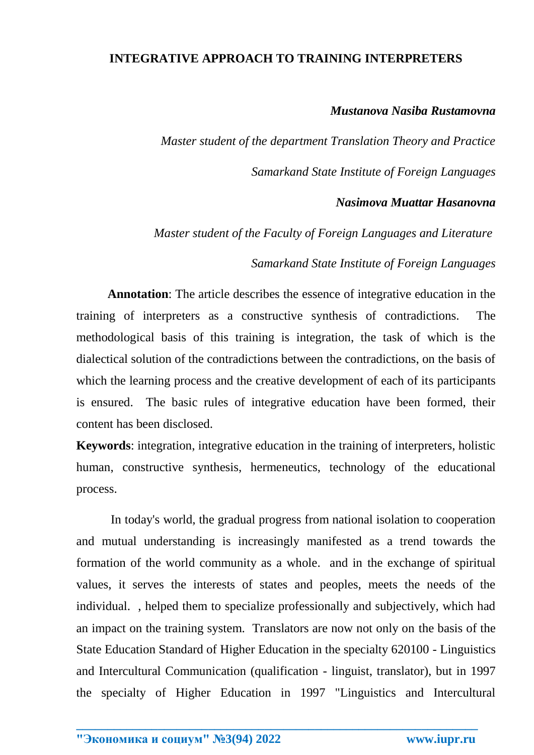## **INTEGRATIVE APPROACH TO TRAINING INTERPRETERS**

## *Mustanova Nasiba Rustamovna*

*Master student of the department Translation Theory and Practice Samarkand State Institute of Foreign Languages*

## *Nasimova Muattar Hasanovna*

*Master student of the Faculty of Foreign Languages and Literature* 

*Samarkand State Institute of Foreign Languages* 

 **Annotation**: The article describes the essence of integrative education in the training of interpreters as a constructive synthesis of contradictions. The methodological basis of this training is integration, the task of which is the dialectical solution of the contradictions between the contradictions, on the basis of which the learning process and the creative development of each of its participants is ensured. The basic rules of integrative education have been formed, their content has been disclosed.

**Keywords**: integration, integrative education in the training of interpreters, holistic human, constructive synthesis, hermeneutics, technology of the educational process.

 In today's world, the gradual progress from national isolation to cooperation and mutual understanding is increasingly manifested as a trend towards the formation of the world community as a whole. and in the exchange of spiritual values, it serves the interests of states and peoples, meets the needs of the individual. , helped them to specialize professionally and subjectively, which had an impact on the training system. Translators are now not only on the basis of the State Education Standard of Higher Education in the specialty 620100 - Linguistics and Intercultural Communication (qualification - linguist, translator), but in 1997 the specialty of Higher Education in 1997 "Linguistics and Intercultural

**\_\_\_\_\_\_\_\_\_\_\_\_\_\_\_\_\_\_\_\_\_\_\_\_\_\_\_\_\_\_\_\_\_\_\_\_\_\_\_\_\_\_\_\_\_\_\_\_\_\_\_\_\_\_\_\_\_\_\_\_\_\_\_\_**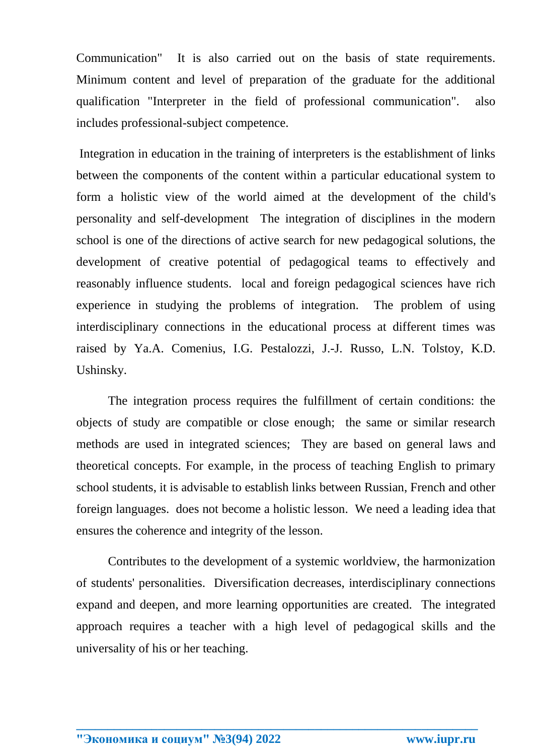Communication" It is also carried out on the basis of state requirements. Minimum content and level of preparation of the graduate for the additional qualification "Interpreter in the field of professional communication". also includes professional-subject competence.

Integration in education in the training of interpreters is the establishment of links between the components of the content within a particular educational system to form a holistic view of the world aimed at the development of the child's personality and self-development The integration of disciplines in the modern school is one of the directions of active search for new pedagogical solutions, the development of creative potential of pedagogical teams to effectively and reasonably influence students. local and foreign pedagogical sciences have rich experience in studying the problems of integration. The problem of using interdisciplinary connections in the educational process at different times was raised by Ya.A. Comenius, I.G. Pestalozzi, J.-J. Russo, L.N. Tolstoy, K.D. Ushinsky.

The integration process requires the fulfillment of certain conditions: the objects of study are compatible or close enough; the same or similar research methods are used in integrated sciences; They are based on general laws and theoretical concepts. For example, in the process of teaching English to primary school students, it is advisable to establish links between Russian, French and other foreign languages. does not become a holistic lesson. We need a leading idea that ensures the coherence and integrity of the lesson.

Contributes to the development of a systemic worldview, the harmonization of students' personalities. Diversification decreases, interdisciplinary connections expand and deepen, and more learning opportunities are created. The integrated approach requires a teacher with a high level of pedagogical skills and the universality of his or her teaching.

**\_\_\_\_\_\_\_\_\_\_\_\_\_\_\_\_\_\_\_\_\_\_\_\_\_\_\_\_\_\_\_\_\_\_\_\_\_\_\_\_\_\_\_\_\_\_\_\_\_\_\_\_\_\_\_\_\_\_\_\_\_\_\_\_**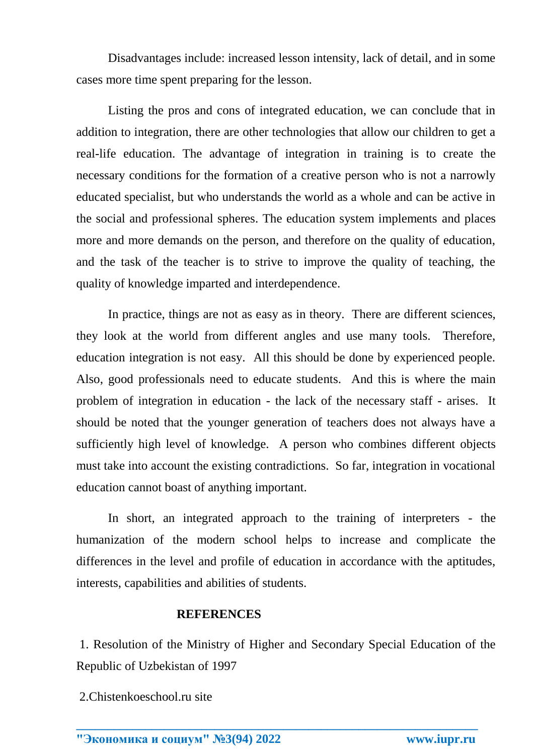Disadvantages include: increased lesson intensity, lack of detail, and in some cases more time spent preparing for the lesson.

Listing the pros and cons of integrated education, we can conclude that in addition to integration, there are other technologies that allow our children to get a real-life education. The advantage of integration in training is to create the necessary conditions for the formation of a creative person who is not a narrowly educated specialist, but who understands the world as a whole and can be active in the social and professional spheres. The education system implements and places more and more demands on the person, and therefore on the quality of education, and the task of the teacher is to strive to improve the quality of teaching, the quality of knowledge imparted and interdependence.

In practice, things are not as easy as in theory. There are different sciences, they look at the world from different angles and use many tools. Therefore, education integration is not easy. All this should be done by experienced people. Also, good professionals need to educate students. And this is where the main problem of integration in education - the lack of the necessary staff - arises. It should be noted that the younger generation of teachers does not always have a sufficiently high level of knowledge. A person who combines different objects must take into account the existing contradictions. So far, integration in vocational education cannot boast of anything important.

In short, an integrated approach to the training of interpreters - the humanization of the modern school helps to increase and complicate the differences in the level and profile of education in accordance with the aptitudes, interests, capabilities and abilities of students.

## **REFERENCES**

1. Resolution of the Ministry of Higher and Secondary Special Education of the Republic of Uzbekistan of 1997

**\_\_\_\_\_\_\_\_\_\_\_\_\_\_\_\_\_\_\_\_\_\_\_\_\_\_\_\_\_\_\_\_\_\_\_\_\_\_\_\_\_\_\_\_\_\_\_\_\_\_\_\_\_\_\_\_\_\_\_\_\_\_\_\_**

2.Chistenkoeschool.ru site